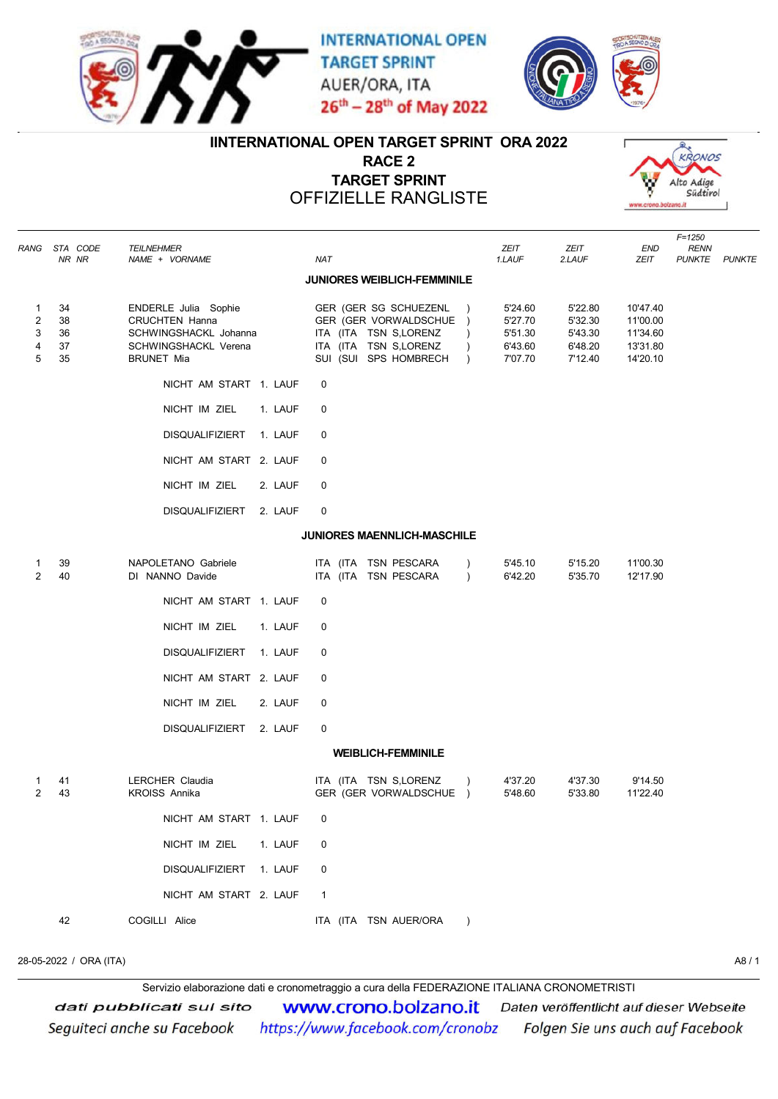

**INTERNATIONAL OPEN TARGET SPRINT** AUER/ORA, ITA 26th - 28th of May 2022



## IINTERNATIONAL OPEN TARGET SPRINT ORA 2022

RACE 2 TARGET SPRINT OFFIZIELLE RANGLISTE



|                                               | RANG STA CODE<br>NR NR     | TEILNEHMER<br>NAME + VORNAME                                                                                        | <b>NAT</b>                                                                                                                               | ZEIT<br>1.LAUF                                      | ZEIT<br>2.LAUF                                      | $F = 1250$<br>END<br><b>RENN</b><br>ZEIT<br><b>PUNKTE</b><br>PUNKTE |
|-----------------------------------------------|----------------------------|---------------------------------------------------------------------------------------------------------------------|------------------------------------------------------------------------------------------------------------------------------------------|-----------------------------------------------------|-----------------------------------------------------|---------------------------------------------------------------------|
|                                               |                            |                                                                                                                     | <b>JUNIORES WEIBLICH-FEMMINILE</b>                                                                                                       |                                                     |                                                     |                                                                     |
| $\mathbf{1}$<br>$\overline{2}$<br>3<br>4<br>5 | 34<br>38<br>36<br>37<br>35 | ENDERLE Julia Sophie<br><b>CRUCHTEN Hanna</b><br>SCHWINGSHACKL Johanna<br>SCHWINGSHACKL Verena<br><b>BRUNET Mia</b> | GER (GER SG SCHUEZENL<br>GER (GER VORWALDSCHUE )<br>ITA (ITA TSN S,LORENZ<br>ITA (ITA TSN S,LORENZ<br>SUI (SUI SPS HOMBRECH<br>$\lambda$ | 5'24.60<br>5'27.70<br>5'51.30<br>6'43.60<br>7'07.70 | 5'22.80<br>5'32.30<br>5'43.30<br>6'48.20<br>7'12.40 | 10'47.40<br>11'00.00<br>11'34.60<br>13'31.80<br>14'20.10            |
|                                               |                            | NICHT AM START 1. LAUF                                                                                              | 0                                                                                                                                        |                                                     |                                                     |                                                                     |
|                                               |                            | NICHT IM ZIEL<br>1. LAUF                                                                                            | 0                                                                                                                                        |                                                     |                                                     |                                                                     |
|                                               |                            | <b>DISQUALIFIZIERT</b><br>1. LAUF                                                                                   | 0                                                                                                                                        |                                                     |                                                     |                                                                     |
|                                               |                            | NICHT AM START 2. LAUF                                                                                              | 0                                                                                                                                        |                                                     |                                                     |                                                                     |
|                                               |                            | NICHT IM ZIEL<br>2. LAUF                                                                                            | 0                                                                                                                                        |                                                     |                                                     |                                                                     |
|                                               |                            | <b>DISQUALIFIZIERT</b><br>2. LAUF                                                                                   | 0                                                                                                                                        |                                                     |                                                     |                                                                     |
|                                               |                            |                                                                                                                     | <b>JUNIORES MAENNLICH-MASCHILE</b>                                                                                                       |                                                     |                                                     |                                                                     |
| 1<br>2                                        | 39<br>40                   | NAPOLETANO Gabriele<br>DI NANNO Davide                                                                              | ITA (ITA TSN PESCARA<br>ITA (ITA TSN PESCARA<br>$\lambda$                                                                                | 5'45.10<br>6'42.20                                  | 5'15.20<br>5'35.70                                  | 11'00.30<br>12'17.90                                                |
|                                               |                            | NICHT AM START 1. LAUF                                                                                              | 0                                                                                                                                        |                                                     |                                                     |                                                                     |
|                                               |                            | NICHT IM ZIEL<br>1. LAUF                                                                                            | 0                                                                                                                                        |                                                     |                                                     |                                                                     |
|                                               |                            | <b>DISQUALIFIZIERT</b><br>1. LAUF                                                                                   | 0                                                                                                                                        |                                                     |                                                     |                                                                     |
|                                               |                            | NICHT AM START 2. LAUF                                                                                              | 0                                                                                                                                        |                                                     |                                                     |                                                                     |
|                                               |                            | NICHT IM ZIEL<br>2. LAUF                                                                                            | 0                                                                                                                                        |                                                     |                                                     |                                                                     |
|                                               |                            | DISQUALIFIZIERT<br>2. LAUF                                                                                          | 0                                                                                                                                        |                                                     |                                                     |                                                                     |
|                                               |                            |                                                                                                                     | <b>WEIBLICH-FEMMINILE</b>                                                                                                                |                                                     |                                                     |                                                                     |
| 1<br>2                                        | 41<br>43                   | LERCHER Claudia<br><b>KROISS Annika</b>                                                                             | ITA (ITA TSN S,LORENZ<br>GER (GER VORWALDSCHUE )                                                                                         | 4'37.20<br>5'48.60                                  | 4'37.30<br>5'33.80                                  | 9'14.50<br>11'22.40                                                 |
|                                               |                            | NICHT AM START 1. LAUF                                                                                              | 0                                                                                                                                        |                                                     |                                                     |                                                                     |
|                                               |                            | NICHT IM ZIEL<br>1. LAUF                                                                                            | 0                                                                                                                                        |                                                     |                                                     |                                                                     |
|                                               |                            | DISQUALIFIZIERT<br>1. LAUF                                                                                          | 0                                                                                                                                        |                                                     |                                                     |                                                                     |
|                                               |                            | NICHT AM START 2. LAUF                                                                                              | $\mathbf{1}$                                                                                                                             |                                                     |                                                     |                                                                     |
|                                               | 42                         | COGILLI Alice                                                                                                       | ITA (ITA TSN AUER/ORA<br>$\lambda$                                                                                                       |                                                     |                                                     |                                                                     |

28-05-2022 / ORA (ITA) A8 / 1

Servizio elaborazione dati e cronometraggio a cura della FEDERAZIONE ITALIANA CRONOMETRISTI

**WWW.Crono.bolzano.it** Daten veröffentlicht auf dieser Webseite dati pubblicati sul sito https://www.facebook.com/cronobz Folgen Sie uns auch auf Facebook Seguiteci anche su Facebook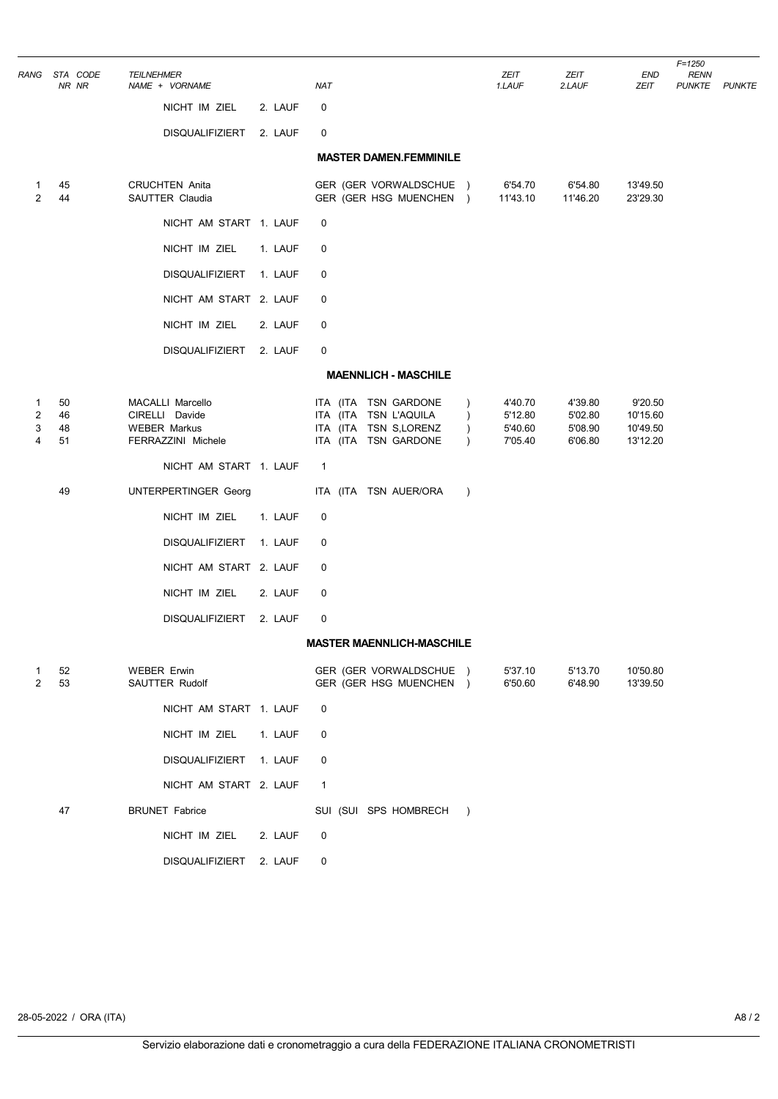| RANG                                     |                      | STA CODE<br>NR NR | <b>TEILNEHMER</b> | NAME + VORNAME                                                                  |         | <b>NAT</b>     |                                                                                                |                                                    |               | ZEIT<br>1.LAUF                           | ZEIT<br>2.LAUF                           | END<br>ZEIT                                 | $F = 1250$<br><b>RENN</b><br><b>PUNKTE PUNKTE</b> |  |
|------------------------------------------|----------------------|-------------------|-------------------|---------------------------------------------------------------------------------|---------|----------------|------------------------------------------------------------------------------------------------|----------------------------------------------------|---------------|------------------------------------------|------------------------------------------|---------------------------------------------|---------------------------------------------------|--|
|                                          |                      |                   |                   | NICHT IM ZIEL                                                                   | 2. LAUF | 0              |                                                                                                |                                                    |               |                                          |                                          |                                             |                                                   |  |
|                                          |                      |                   |                   | DISQUALIFIZIERT 2. LAUF                                                         |         | 0              |                                                                                                |                                                    |               |                                          |                                          |                                             |                                                   |  |
|                                          |                      |                   |                   |                                                                                 |         |                |                                                                                                | <b>MASTER DAMEN.FEMMINILE</b>                      |               |                                          |                                          |                                             |                                                   |  |
| 1<br>$\overline{2}$                      | 45<br>44             |                   |                   | <b>CRUCHTEN Anita</b><br>SAUTTER Claudia                                        |         |                |                                                                                                | GER (GER VORWALDSCHUE )<br>GER (GER HSG MUENCHEN ) |               | 6'54.70<br>11'43.10                      | 6'54.80<br>11'46.20                      | 13'49.50<br>23'29.30                        |                                                   |  |
|                                          |                      |                   |                   | NICHT AM START 1. LAUF                                                          |         | 0              |                                                                                                |                                                    |               |                                          |                                          |                                             |                                                   |  |
|                                          |                      |                   |                   | NICHT IM ZIEL                                                                   | 1. LAUF | 0              |                                                                                                |                                                    |               |                                          |                                          |                                             |                                                   |  |
|                                          |                      |                   |                   | DISQUALIFIZIERT 1. LAUF                                                         |         | 0              |                                                                                                |                                                    |               |                                          |                                          |                                             |                                                   |  |
|                                          |                      |                   |                   | NICHT AM START 2. LAUF                                                          |         | 0              |                                                                                                |                                                    |               |                                          |                                          |                                             |                                                   |  |
|                                          |                      |                   |                   | NICHT IM ZIEL                                                                   | 2. LAUF | 0              |                                                                                                |                                                    |               |                                          |                                          |                                             |                                                   |  |
|                                          |                      |                   |                   | DISQUALIFIZIERT 2. LAUF                                                         |         | 0              |                                                                                                |                                                    |               |                                          |                                          |                                             |                                                   |  |
|                                          |                      |                   |                   |                                                                                 |         |                |                                                                                                | <b>MAENNLICH - MASCHILE</b>                        |               |                                          |                                          |                                             |                                                   |  |
| $\mathbf{1}$<br>$\overline{2}$<br>3<br>4 | 50<br>46<br>48<br>51 |                   |                   | MACALLI Marcello<br>CIRELLI Davide<br><b>WEBER Markus</b><br>FERRAZZINI Michele |         |                | ITA (ITA TSN GARDONE<br>ITA (ITA TSN L'AQUILA<br>ITA (ITA TSN S,LORENZ<br>ITA (ITA TSN GARDONE |                                                    | $\lambda$     | 4'40.70<br>5'12.80<br>5'40.60<br>7'05.40 | 4'39.80<br>5'02.80<br>5'08.90<br>6'06.80 | 9'20.50<br>10'15.60<br>10'49.50<br>13'12.20 |                                                   |  |
|                                          |                      |                   |                   | NICHT AM START 1. LAUF                                                          |         | $\mathbf{1}$   |                                                                                                |                                                    |               |                                          |                                          |                                             |                                                   |  |
|                                          | 49                   |                   |                   | UNTERPERTINGER Georg                                                            |         |                | ITA (ITA TSN AUER/ORA                                                                          |                                                    | $\lambda$     |                                          |                                          |                                             |                                                   |  |
|                                          |                      |                   |                   | NICHT IM ZIEL                                                                   | 1. LAUF | 0              |                                                                                                |                                                    |               |                                          |                                          |                                             |                                                   |  |
|                                          |                      |                   |                   | <b>DISQUALIFIZIERT</b>                                                          | 1. LAUF | 0              |                                                                                                |                                                    |               |                                          |                                          |                                             |                                                   |  |
|                                          |                      |                   |                   | NICHT AM START 2. LAUF                                                          |         | 0              |                                                                                                |                                                    |               |                                          |                                          |                                             |                                                   |  |
|                                          |                      |                   |                   | NICHT IM ZIEL                                                                   | 2. LAUF | 0              |                                                                                                |                                                    |               |                                          |                                          |                                             |                                                   |  |
|                                          |                      |                   |                   | <b>DISQUALIFIZIERT</b>                                                          | 2. LAUF | 0              |                                                                                                |                                                    |               |                                          |                                          |                                             |                                                   |  |
|                                          |                      |                   |                   |                                                                                 |         |                |                                                                                                | <b>MASTER MAENNLICH-MASCHILE</b>                   |               |                                          |                                          |                                             |                                                   |  |
| 2                                        | 52<br>53             |                   |                   | <b>WEBER Erwin</b><br>SAUTTER Rudolf                                            |         |                |                                                                                                | GER (GER VORWALDSCHUE)<br>GER (GER HSG MUENCHEN )  |               | 5'37.10<br>6'50.60                       | 5'13.70<br>6'48.90                       | 10'50.80<br>13'39.50                        |                                                   |  |
|                                          |                      |                   |                   | NICHT AM START 1. LAUF                                                          |         | 0              |                                                                                                |                                                    |               |                                          |                                          |                                             |                                                   |  |
|                                          |                      |                   |                   | NICHT IM ZIEL                                                                   | 1. LAUF | 0              |                                                                                                |                                                    |               |                                          |                                          |                                             |                                                   |  |
|                                          |                      |                   |                   | DISQUALIFIZIERT 1. LAUF                                                         |         | 0              |                                                                                                |                                                    |               |                                          |                                          |                                             |                                                   |  |
|                                          |                      |                   |                   | NICHT AM START 2. LAUF                                                          |         | $\overline{1}$ |                                                                                                |                                                    |               |                                          |                                          |                                             |                                                   |  |
|                                          | 47                   |                   |                   | <b>BRUNET Fabrice</b>                                                           |         |                |                                                                                                | SUI (SUI SPS HOMBRECH                              | $\rightarrow$ |                                          |                                          |                                             |                                                   |  |
|                                          |                      |                   |                   | NICHT IM ZIEL                                                                   | 2. LAUF | 0              |                                                                                                |                                                    |               |                                          |                                          |                                             |                                                   |  |
|                                          |                      |                   |                   | DISQUALIFIZIERT                                                                 | 2. LAUF | 0              |                                                                                                |                                                    |               |                                          |                                          |                                             |                                                   |  |
|                                          |                      |                   |                   |                                                                                 |         |                |                                                                                                |                                                    |               |                                          |                                          |                                             |                                                   |  |

 $\overline{a}$